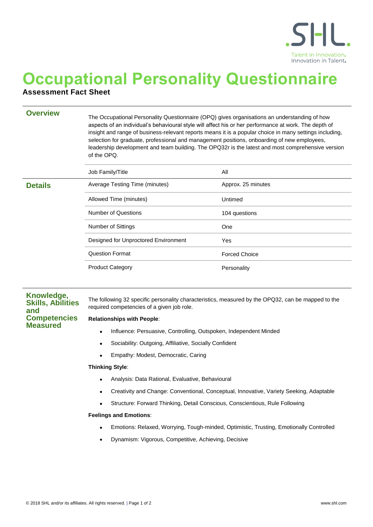

# **Occupational Personality Questionnaire**

## **Assessment Fact Sheet**

**Overview** The Occupational Personality Questionnaire (OPQ) gives organisations an understanding of how aspects of an individual's behavioural style will affect his or her performance at work. The depth of insight and range of business-relevant reports means it is a popular choice in many settings including, selection for graduate, professional and management positions, onboarding of new employees, leadership development and team building. The OPQ32r is the latest and most comprehensive version of the OPQ.

|                | Job Family/Title                     | All                  |
|----------------|--------------------------------------|----------------------|
| <b>Details</b> | Average Testing Time (minutes)       | Approx. 25 minutes   |
|                | Allowed Time (minutes)               | Untimed              |
|                | <b>Number of Questions</b>           | 104 questions        |
|                | <b>Number of Sittings</b>            | One                  |
|                | Designed for Unproctored Environment | Yes                  |
|                | <b>Question Format</b>               | <b>Forced Choice</b> |
|                | <b>Product Category</b>              | Personality          |

### **Knowledge, Skills, Abilities and Competencies Measured**

The following 32 specific personality characteristics, measured by the OPQ32, can be mapped to the required competencies of a given job role.

#### **Relationships with People**:

- Influence: Persuasive, Controlling, Outspoken, Independent Minded
- Sociability: Outgoing, Affiliative, Socially Confident
- **•** Empathy: Modest, Democratic, Caring

#### **Thinking Style**:

- Analysis: Data Rational, Evaluative, Behavioural
- Creativity and Change: Conventional, Conceptual, Innovative, Variety Seeking, Adaptable
- Structure: Forward Thinking, Detail Conscious, Conscientious, Rule Following

#### **Feelings and Emotions**:

- Emotions: Relaxed, Worrying, Tough-minded, Optimistic, Trusting, Emotionally Controlled
- Dynamism: Vigorous, Competitive, Achieving, Decisive